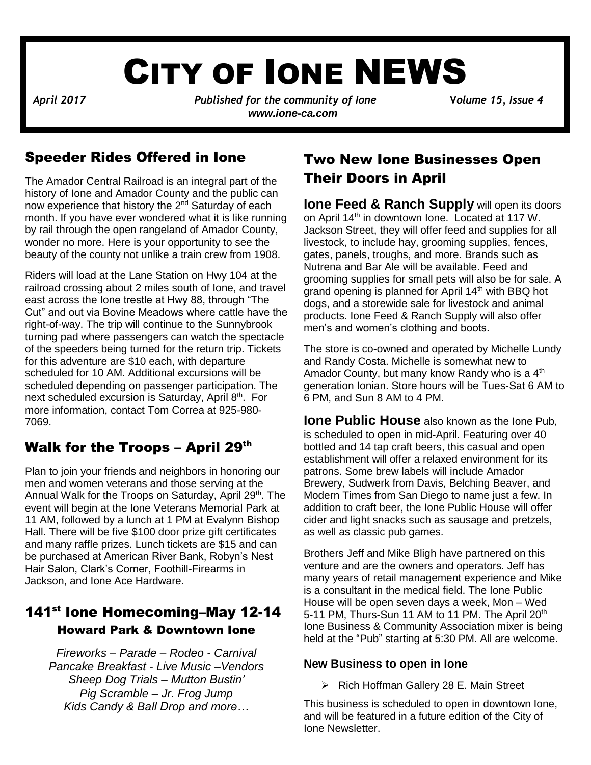# CITY OF IONE NEWS

*April 2017**Published for the community of Ione* **V***olume 15, Issue 4 www.ione-ca.com*

#### Speeder Rides Offered in Ione

The Amador Central Railroad is an integral part of the history of Ione and Amador County and the public can now experience that history the 2<sup>nd</sup> Saturday of each month. If you have ever wondered what it is like running by rail through the open rangeland of Amador County, wonder no more. Here is your opportunity to see the beauty of the county not unlike a train crew from 1908.

railroad crossing about 2 miles south of lone, and travel Riders will load at the Lane Station on Hwy 104 at the east across the Ione trestle at Hwy 88, through "The Cut" and out via Bovine Meadows where cattle have the right-of-way. The trip will continue to the Sunnybrook turning pad where passengers can watch the spectacle of the speeders being turned for the return trip. Tickets for this adventure are \$10 each, with departure scheduled for 10 AM. Additional excursions will be scheduled depending on passenger participation. The next scheduled excursion is Saturday, April 8<sup>th</sup>. For more information, contact Tom Correa at 925-980- 7069.

### Walk for the Troops – April 29th

Plan to join your friends and neighbors in honoring our men and women veterans and those serving at the Annual Walk for the Troops on Saturday, April 29<sup>th</sup>. The event will begin at the Ione Veterans Memorial Park at 11 AM, followed by a lunch at 1 PM at Evalynn Bishop Hall. There will be five \$100 door prize gift certificates and many raffle prizes. Lunch tickets are \$15 and can be purchased at American River Bank, Robyn's Nest Hair Salon, Clark's Corner, Foothill-Firearms in Jackson, and Ione Ace Hardware.

#### 141<sup>st</sup> Ione Homecoming–May 12-14 Howard Park & Downtown Ione

 *Kids Candy & Ball Drop and more… Fireworks – Parade – Rodeo - Carnival Pancake Breakfast - Live Music –Vendors Sheep Dog Trials – Mutton Bustin' Pig Scramble – Jr. Frog Jump*

#### Two New Ione Businesses Open Their Doors in April

**Ione Feed & Ranch Supply** will open its doors on April 14<sup>th</sup> in downtown Ione. Located at 117 W. Jackson Street, they will offer feed and supplies for all livestock, to include hay, grooming supplies, fences, gates, panels, troughs, and more. Brands such as Nutrena and Bar Ale will be available. Feed and grooming supplies for small pets will also be for sale. A grand opening is planned for April 14<sup>th</sup> with BBQ hot dogs, and a storewide sale for livestock and animal products. Ione Feed & Ranch Supply will also offer men's and women's clothing and boots.

The store is co-owned and operated by Michelle Lundy and Randy Costa. Michelle is somewhat new to Amador County, but many know Randy who is a 4<sup>th</sup> generation Ionian. Store hours will be Tues-Sat 6 AM to 6 PM, and Sun 8 AM to 4 PM.

**Ione Public House** also known as the Ione Pub, is scheduled to open in mid-April. Featuring over 40 bottled and 14 tap craft beers, this casual and open establishment will offer a relaxed environment for its patrons. Some brew labels will include Amador Brewery, Sudwerk from Davis, Belching Beaver, and Modern Times from San Diego to name just a few. In addition to craft beer, the Ione Public House will offer cider and light snacks such as sausage and pretzels, as well as classic pub games.

Brothers Jeff and Mike Bligh have partnered on this venture and are the owners and operators. Jeff has many years of retail management experience and Mike is a consultant in the medical field. The Ione Public House will be open seven days a week, Mon – Wed 5-11 PM, Thurs-Sun 11 AM to 11 PM. The April 20<sup>th</sup> Ione Business & Community Association mixer is being held at the "Pub" starting at 5:30 PM. All are welcome.

#### **New Business to open in Ione**

➢ Rich Hoffman Gallery 28 E. Main Street

This business is scheduled to open in downtown Ione, and will be featured in a future edition of the City of Ione Newsletter.